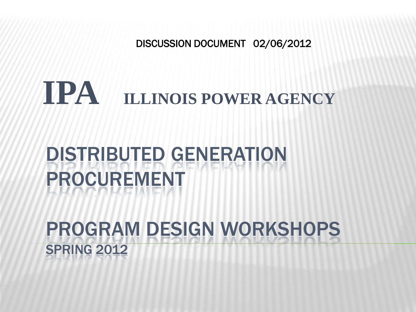DISCUSSION DOCUMENT 02/06/2012

# **IPA ILLINOIS POWER AGENCY**

## DISTRIBUTED GENERATION PROCUREMENT

### PROGRAM DESIGN WORKSHOPS SPRING 2012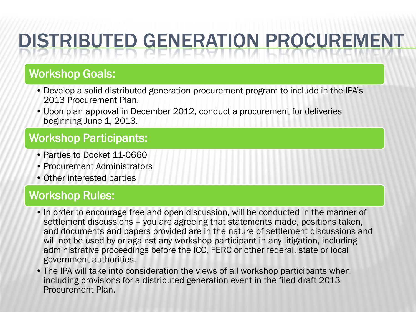### Workshop Goals:

- Develop a solid distributed generation procurement program to include in the IPA's 2013 Procurement Plan.
- Upon plan approval in December 2012, conduct a procurement for deliveries beginning June 1, 2013.

### Workshop Participants:

- Parties to Docket 11-0660
- Procurement Administrators
- Other interested parties

### Workshop Rules:

- In order to encourage free and open discussion, will be conducted in the manner of settlement discussions – you are agreeing that statements made, positions taken, and documents and papers provided are in the nature of settlement discussions and will not be used by or against any workshop participant in any litigation, including administrative proceedings before the ICC, FERC or other federal, state or local government authorities.
- The IPA will take into consideration the views of all workshop participants when including provisions for a distributed generation event in the filed draft 2013 Procurement Plan.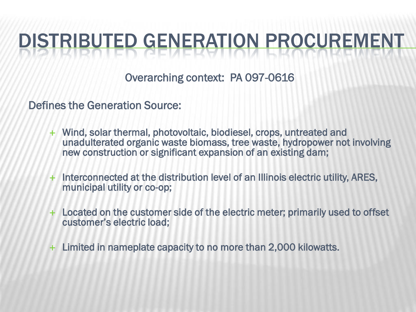Overarching context: PA 097-0616

Defines the Generation Source:

- Wind, solar thermal, photovoltaic, biodiesel, crops, untreated and unadulterated organic waste biomass, tree waste, hydropower not involving new construction or significant expansion of an existing dam;
- + Interconnected at the distribution level of an Illinois electric utility, ARES, municipal utility or co-op;
- Located on the customer side of the electric meter; primarily used to offset customer's electric load;
- Limited in nameplate capacity to no more than 2,000 kilowatts.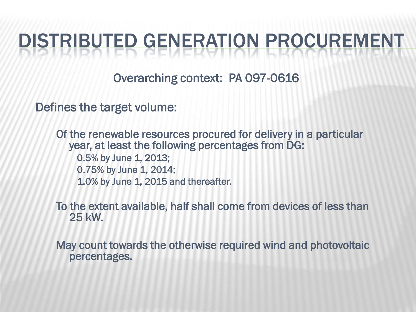Overarching context: PA 097-0616

Defines the target volume:

Of the renewable resources procured for delivery in a particular year, at least the following percentages from DG: 0.5% by June 1, 2013; 0.75% by June 1, 2014; 1.0% by June 1, 2015 and thereafter.

To the extent available, half shall come from devices of less than 25 kW.

May count towards the otherwise required wind and photovoltaic percentages.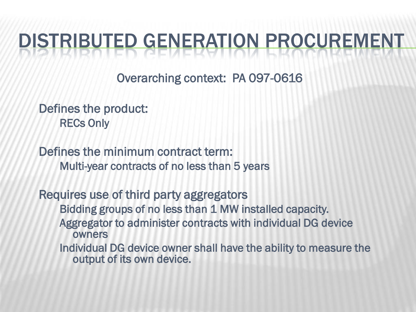Overarching context: PA 097-0616

Defines the product: RECs Only

Defines the minimum contract term: Multi-year contracts of no less than 5 years

Requires use of third party aggregators Bidding groups of no less than 1 MW installed capacity. Aggregator to administer contracts with individual DG device owners Individual DG device owner shall have the ability to measure the output of its own device.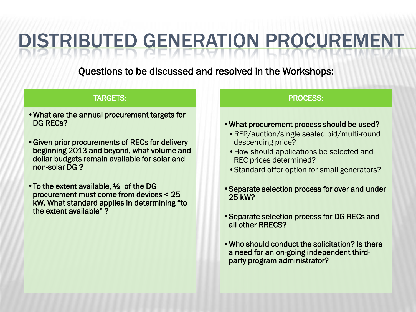Questions to be discussed and resolved in the Workshops:

#### TARGETS:

- •What are the annual procurement targets for DG RECs?
- •Given prior procurements of RECs for delivery beginning 2013 and beyond, what volume and dollar budgets remain available for solar and non-solar DG ?
- To the extent available,  $\frac{1}{2}$  of the DG procurement must come from devices < 25 kW. What standard applies in determining "to the extent available" ?

#### PROCESS:

- •What procurement process should be used?
	- •RFP/auction/single sealed bid/multi-round descending price?
	- •How should applications be selected and REC prices determined?
	- •Standard offer option for small generators?
- •Separate selection process for over and under 25 kW?
- •Separate selection process for DG RECs and all other RRECS?
- •Who should conduct the solicitation? Is there a need for an on-going independent thirdparty program administrator?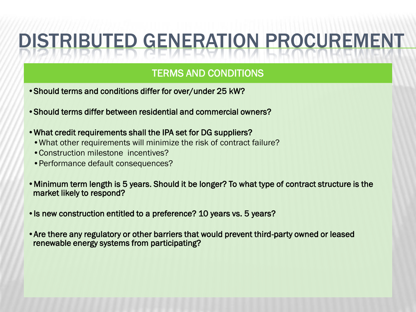### TERMS AND CONDITIONS

- •Should terms and conditions differ for over/under 25 kW?
- •Should terms differ between residential and commercial owners?
- •What credit requirements shall the IPA set for DG suppliers?
	- •What other requirements will minimize the risk of contract failure?
	- •Construction milestone incentives?
	- •Performance default consequences?
- •Minimum term length is 5 years. Should it be longer? To what type of contract structure is the market likely to respond?
- •Is new construction entitled to a preference? 10 years vs. 5 years?
- •Are there any regulatory or other barriers that would prevent third-party owned or leased renewable energy systems from participating?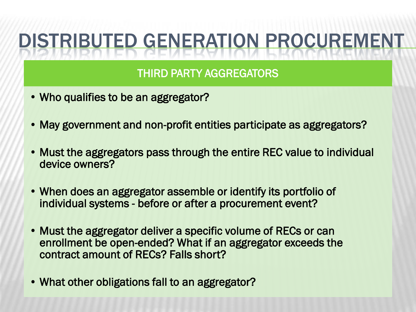### THIRD PARTY AGGREGATORS

- Who qualifies to be an aggregator?
- May government and non-profit entities participate as aggregators?
- Must the aggregators pass through the entire REC value to individual device owners?
- When does an aggregator assemble or identify its portfolio of individual systems - before or after a procurement event?
- Must the aggregator deliver a specific volume of RECs or can enrollment be open-ended? What if an aggregator exceeds the contract amount of RECs? Falls short?
- What other obligations fall to an aggregator?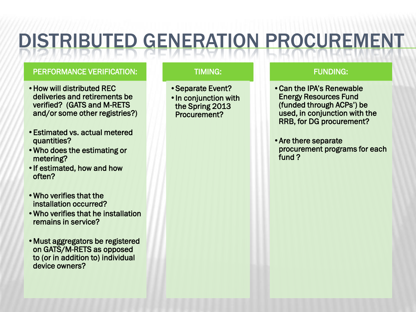#### PERFORMANCE VERIFICATION:

- •How will distributed REC deliveries and retirements be verified? (GATS and M-RETS and/or some other registries?)
- •Estimated vs. actual metered quantities?
- •Who does the estimating or metering?
- •If estimated, how and how often?
- •Who verifies that the installation occurred?
- •Who verifies that he installation remains in service?
- •Must aggregators be registered on GATS/M-RETS as opposed to (or in addition to) individual device owners?

#### TIMING:

- •Separate Event?
- •In conjunction with the Spring 2013 Procurement?

#### FUNDING:

- •Can the IPA's Renewable Energy Resources Fund (funded through ACPs') be used, in conjunction with the RRB, for DG procurement?
- •Are there separate procurement programs for each fund ?